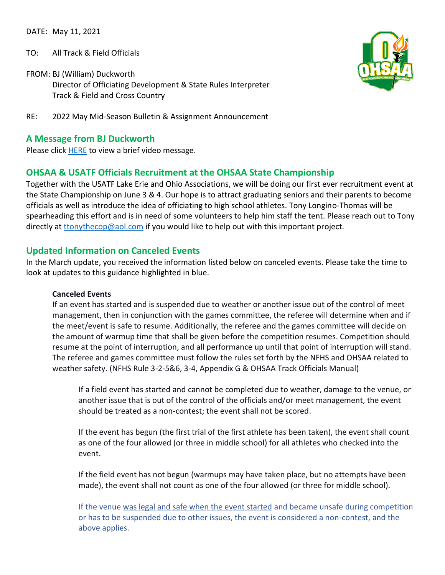DATE: May 11, 2021

- TO: All Track & Field Officials
- FROM: BJ (William) Duckworth Director of Officiating Development & State Rules Interpreter Track & Field and Cross Country



RE: 2022 May Mid-Season Bulletin & Assignment Announcement

### **A Message from BJ Duckworth**

Please click [HERE](https://drive.google.com/file/d/1kKm8siFdZPVaxsiZsFAwsVcBXf5jVnik/view?usp=sharing) to view a brief video message.

# **OHSAA & USATF Officials Recruitment at the OHSAA State Championship**

Together with the USATF Lake Erie and Ohio Associations, we will be doing our first ever recruitment event at the State Championship on June 3 & 4. Our hope is to attract graduating seniors and their parents to become officials as well as introduce the idea of officiating to high school athletes. Tony Longino-Thomas will be spearheading this effort and is in need of some volunteers to help him staff the tent. Please reach out to Tony directly at [ttonythecop@aol.com](mailto:ttonythecop@aol.com) if you would like to help out with this important project.

### **Updated Information on Canceled Events**

In the March update, you received the information listed below on canceled events. Please take the time to look at updates to this guidance highlighted in blue.

#### **Canceled Events**

If an event has started and is suspended due to weather or another issue out of the control of meet management, then in conjunction with the games committee, the referee will determine when and if the meet/event is safe to resume. Additionally, the referee and the games committee will decide on the amount of warmup time that shall be given before the competition resumes. Competition should resume at the point of interruption, and all performance up until that point of interruption will stand. The referee and games committee must follow the rules set forth by the NFHS and OHSAA related to weather safety. (NFHS Rule 3-2-5&6, 3-4, Appendix G & OHSAA Track Officials Manual)

If a field event has started and cannot be completed due to weather, damage to the venue, or another issue that is out of the control of the officials and/or meet management, the event should be treated as a non-contest; the event shall not be scored.

If the event has begun (the first trial of the first athlete has been taken), the event shall count as one of the four allowed (or three in middle school) for all athletes who checked into the event.

If the field event has not begun (warmups may have taken place, but no attempts have been made), the event shall not count as one of the four allowed (or three for middle school).

If the venue was legal and safe when the event started and became unsafe during competition or has to be suspended due to other issues, the event is considered a non-contest, and the above applies.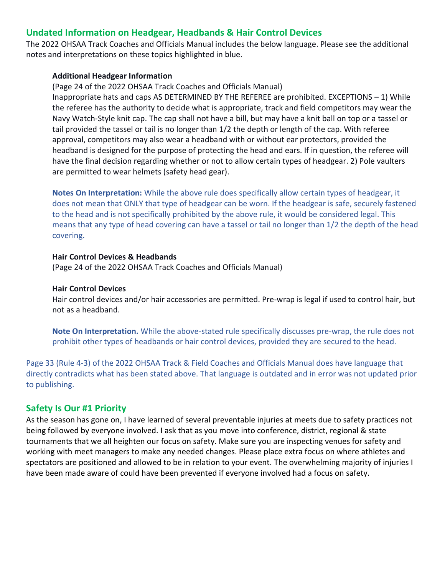## **Undated Information on Headgear, Headbands & Hair Control Devices**

The 2022 OHSAA Track Coaches and Officials Manual includes the below language. Please see the additional notes and interpretations on these topics highlighted in blue.

#### **Additional Headgear Information**

(Page 24 of the 2022 OHSAA Track Coaches and Officials Manual) Inappropriate hats and caps AS DETERMINED BY THE REFEREE are prohibited. EXCEPTIONS – 1) While the referee has the authority to decide what is appropriate, track and field competitors may wear the Navy Watch-Style knit cap. The cap shall not have a bill, but may have a knit ball on top or a tassel or tail provided the tassel or tail is no longer than 1/2 the depth or length of the cap. With referee approval, competitors may also wear a headband with or without ear protectors, provided the headband is designed for the purpose of protecting the head and ears. If in question, the referee will have the final decision regarding whether or not to allow certain types of headgear. 2) Pole vaulters are permitted to wear helmets (safety head gear).

**Notes On Interpretation:** While the above rule does specifically allow certain types of headgear, it does not mean that ONLY that type of headgear can be worn. If the headgear is safe, securely fastened to the head and is not specifically prohibited by the above rule, it would be considered legal. This means that any type of head covering can have a tassel or tail no longer than 1/2 the depth of the head covering.

#### **Hair Control Devices & Headbands**

(Page 24 of the 2022 OHSAA Track Coaches and Officials Manual)

#### **Hair Control Devices**

Hair control devices and/or hair accessories are permitted. Pre-wrap is legal if used to control hair, but not as a headband.

**Note On Interpretation.** While the above-stated rule specifically discusses pre-wrap, the rule does not prohibit other types of headbands or hair control devices, provided they are secured to the head.

Page 33 (Rule 4-3) of the 2022 OHSAA Track & Field Coaches and Officials Manual does have language that directly contradicts what has been stated above. That language is outdated and in error was not updated prior to publishing.

### **Safety Is Our #1 Priority**

As the season has gone on, I have learned of several preventable injuries at meets due to safety practices not being followed by everyone involved. I ask that as you move into conference, district, regional & state tournaments that we all heighten our focus on safety. Make sure you are inspecting venues for safety and working with meet managers to make any needed changes. Please place extra focus on where athletes and spectators are positioned and allowed to be in relation to your event. The overwhelming majority of injuries I have been made aware of could have been prevented if everyone involved had a focus on safety.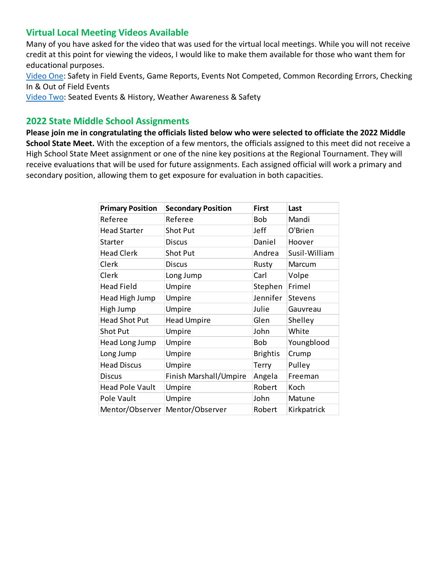## **Virtual Local Meeting Videos Available**

Many of you have asked for the video that was used for the virtual local meetings. While you will not receive credit at this point for viewing the videos, I would like to make them available for those who want them for educational purposes.

[Video One:](https://drive.google.com/file/d/1-fAHDRTFOkM3so49kFjdaGI5R6wYy2kO/view?usp=sharing) Safety in Field Events, Game Reports, Events Not Competed, Common Recording Errors, Checking In & Out of Field Events

[Video Two:](https://drive.google.com/file/d/10UXm6YipErXx_oorsavUsR2MQnlDfziI/view?usp=sharing) Seated Events & History, Weather Awareness & Safety

## **2022 State Middle School Assignments**

**Please join me in congratulating the officials listed below who were selected to officiate the 2022 Middle School State Meet.** With the exception of a few mentors, the officials assigned to this meet did not receive a High School State Meet assignment or one of the nine key positions at the Regional Tournament. They will receive evaluations that will be used for future assignments. Each assigned official will work a primary and secondary position, allowing them to get exposure for evaluation in both capacities.

| <b>Primary Position</b> | <b>Secondary Position</b> | <b>First</b>    | Last          |
|-------------------------|---------------------------|-----------------|---------------|
| Referee                 | Referee                   | Bob             | Mandi         |
| <b>Head Starter</b>     | Shot Put                  | Jeff            | O'Brien       |
| Starter                 | <b>Discus</b>             | Daniel          | Hoover        |
| <b>Head Clerk</b>       | <b>Shot Put</b>           | Andrea          | Susil-William |
| Clerk                   | <b>Discus</b>             | Rusty           | Marcum        |
| Clerk                   | Long Jump                 | Carl            | Volpe         |
| <b>Head Field</b>       | Umpire                    | Stephen         | Frimel        |
| Head High Jump          | Umpire                    | Jennifer        | Stevens       |
| High Jump               | Umpire                    | Julie           | Gauvreau      |
| <b>Head Shot Put</b>    | <b>Head Umpire</b>        | Glen            | Shelley       |
| <b>Shot Put</b>         | Umpire                    | John            | White         |
| Head Long Jump          | Umpire                    | Bob             | Youngblood    |
| Long Jump               | Umpire                    | <b>Brightis</b> | Crump         |
| <b>Head Discus</b>      | Umpire                    | <b>Terry</b>    | Pulley        |
| <b>Discus</b>           | Finish Marshall/Umpire    | Angela          | Freeman       |
| <b>Head Pole Vault</b>  | Umpire                    | Robert          | Koch          |
| Pole Vault              | Umpire                    | John            | Matune        |
| Mentor/Observer         | Mentor/Observer           | Robert          | Kirkpatrick   |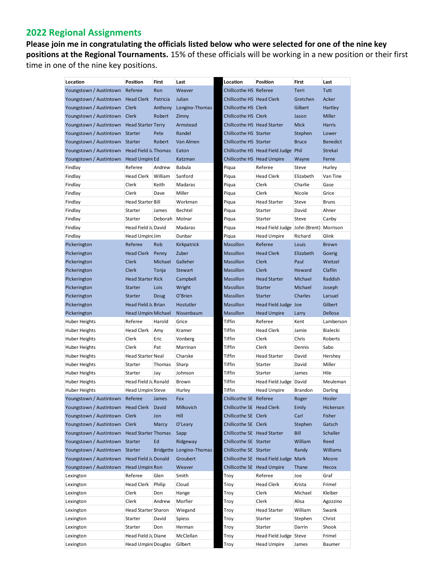# **2022 Regional Assignments**

**Please join me in congratulating the officials listed below who were selected for one of the nine key positions at the Regional Tournaments.** 15% of these officials will be working in a new position or their first time in one of the nine key positions.

| Location                           | Position                   | First    | Last                     | Location                    | Position                                 | <b>First</b> | Last            |
|------------------------------------|----------------------------|----------|--------------------------|-----------------------------|------------------------------------------|--------------|-----------------|
| Youngstown / Austintown            | Referee                    | Ron      | Weaver                   | Chillicothe HS Referee      |                                          | Terri        | Tutt            |
| Youngstown / Austintown Head Clerk |                            | Patricia | Julian                   | Chillicothe HS Head Clerk   |                                          | Gretchen     | Acker           |
| Youngstown / Austintown            | Clerk                      | Anthony  | Longino-Thomas           | Chillicothe HS Clerk        |                                          | Gilbert      | Hartley         |
| Youngstown / Austintown            | Clerk                      | Robert   | Zimny                    | Chillicothe HS Clerk        |                                          | Jason        | <b>Miller</b>   |
| Youngstown / Austintown            | <b>Head Starter Terry</b>  |          | Armstead                 | Chillicothe HS Head Starter |                                          | <b>Mick</b>  | Harris          |
| Youngstown / Austintown            | <b>Starter</b>             | Pete     | Randel                   | Chillicothe HS Starter      |                                          | Stephen      | Lower           |
| Youngstown / Austintown            | <b>Starter</b>             | Robert   | Van Almen                | Chillicothe HS Starter      |                                          | <b>Bruce</b> | <b>Benedict</b> |
| Youngstown / Austintown            | Head Field Ju Thomas       |          | Eaton                    |                             | Chillicothe HS Head Field Judge Phil     |              | <b>Strekal</b>  |
| Youngstown / Austintown            | Head Umpire Ed             |          | Katzman                  | Chillicothe HS Head Umpire  |                                          | Wayne        | Ferne           |
| Findlay                            | Referee                    | Andrew   | <b>Babula</b>            | Piqua                       | Referee                                  | Steve        | Hurley          |
| Findlay                            | Head Clerk                 | William  | Sanford                  | Piqua                       | <b>Head Clerk</b>                        | Elizabeth    | Van Tine        |
| Findlay                            | Clerk                      | Keith    | Madaras                  | Piqua                       | Clerk                                    | Charlie      | Gase            |
| Findlay                            | Clerk                      | Dave     | Miller                   | Piqua                       | Clerk                                    | Nicole       | Grice           |
| Findlay                            | <b>Head Starter Bill</b>   |          | Workman                  | Piqua                       | <b>Head Starter</b>                      | Steve        | Bruns           |
| Findlay                            | Starter                    | James    | Bechtel                  | Piqua                       | Starter                                  | David        | Ahner           |
| Findlay                            | Starter                    | Deborah  | Molnar                   | Piqua                       | Starter                                  | Steve        | Canby           |
| Findlay                            | Head Field Ju David        |          | Madaras                  | Piqua                       | Head Field Judge John (Brent)   Morrison |              |                 |
| Findlay                            | Head Umpire Jim            |          | Dunbar                   | Piqua                       | <b>Head Umpire</b>                       | Richard      | Glink           |
| Pickerington                       | Referee                    | Rob      | Kirkpatrick              | Massillon                   | Referee                                  | Louis        | <b>Brown</b>    |
| Pickerington                       | <b>Head Clerk</b>          | Penny    | Zuber                    | Massillon                   | <b>Head Clerk</b>                        | Elizabeth    | Goerig          |
| Pickerington                       | Clerk                      | Michael  | Galleher                 | Massillon                   | Clerk                                    | Paul         | Weitzel         |
| Pickerington                       | Clerk                      | Tonja    | <b>Stewart</b>           | Massillon                   | Clerk                                    | Howard       | Claflin         |
| Pickerington                       | <b>Head Starter Rick</b>   |          | Campbell                 | Massillon                   | <b>Head Starter</b>                      | Michael      | Raddish         |
| Pickerington                       | <b>Starter</b>             | Lois     | Wright                   | Massillon                   | Starter                                  | Michael      | Joseph          |
| Pickerington                       | <b>Starter</b>             | Doug     | O'Brien                  | Massillon                   | Starter                                  | Charles      | Larsuel         |
| Pickerington                       | Head Field Ju Brian        |          | Hostutler                | Massillon                   | Head Field Judge Joe                     |              | Gilbert         |
| Pickerington                       | Head Umpire Michael        |          | Nissenbaum               | Massillon                   | <b>Head Umpire</b>                       | Larry        | Dellosa         |
| Huber Heights                      | Referee                    | Harold   | Grice                    | Tiffin                      | Referee                                  | Kent         | Lamberson       |
| Huber Heights                      | Head Clerk                 | Amy      | Kramer                   | Tiffin                      | <b>Head Clerk</b>                        | Jamie        | Bialecki        |
| Huber Heights                      | Clerk                      | Eric     | Vonberg                  | Tiffin                      | Clerk                                    | Chris        | Roberts         |
| Huber Heights                      | Clerk                      | Pat      | Marrinan                 | Tiffin                      | Clerk                                    | Dennis       | Sabo            |
| Huber Heights                      | Head Starter Neal          |          | Charske                  | Tiffin                      | <b>Head Starter</b>                      | David        | Hershey         |
| Huber Heights                      | Starter                    | Thomas   | Sharp                    | Tiffin                      | Starter                                  | David        | Miller          |
| <b>Huber Heights</b>               | Starter                    | Jay      | Johnson                  | Tiffin                      | Starter                                  | James        | Hile            |
| Huber Heights                      | Head Field Ju Ronald       |          | Brown                    | Tiffin                      | Head Field Judge   David                 |              | Meuleman        |
| <b>Huber Heights</b>               | Head Umpire Steve          |          | Hurley                   | Tiffin                      | <b>Head Umpire</b>                       | Brandon      | Darling         |
| Youngstown / Austintown Referee    |                            | James    | Fox                      | Chillicothe SE Referee      |                                          | Roger        | Hosler          |
| Youngstown / Austintown Head Clerk |                            | David    | Milkovich                | Chillicothe SE Head Clerk   |                                          | Emily        | Hickerson       |
| Youngstown / Austintown            | <b>Clerk</b>               | Jon      | Hill                     | Chillicothe SE Clerk        |                                          | Carl         | <b>Fisher</b>   |
| Youngstown / Austintown            | Clerk                      | Marcy    | O'Leary                  | Chillicothe SE Clerk        |                                          | Stephen      | Gatsch          |
| Youngstown / Austintown            | <b>Head Starter Thomas</b> |          | Sapp                     | Chillicothe SE Head Starter |                                          | <b>Bill</b>  | Schaller        |
| Youngstown / Austintown Starter    |                            | Ed       | Ridgeway                 | Chillicothe SE Starter      |                                          | William      | Reed            |
| Youngstown / Austintown Starter    |                            |          | Bridgette Longino-Thomas | Chillicothe SE Starter      |                                          | Randy        | <b>Williams</b> |
| Youngstown / Austintown            | Head Field Ju Donald       |          | Groubert                 |                             | Chillicothe SE Head Field Judge Mark     |              | Moore           |
| Youngstown / Austintown            | Head Umpire Ron            |          |                          | Chillicothe SE Head Umpire  |                                          |              | Hecox           |
|                                    | Referee                    | Glen     | Weaver<br>Smith          |                             | Referee                                  | Thane<br>Joe | Graf            |
| Lexington                          |                            |          |                          | Troy                        |                                          |              |                 |
| Lexington                          | <b>Head Clerk</b>          | Philip   | Cloud                    | Troy                        | <b>Head Clerk</b>                        | Krista       | Frimel          |
| Lexington                          | Clerk                      | Don      | Hange                    | Troy                        | Clerk                                    | Michael      | Kleiber         |
| Lexington                          | Clerk                      | Andrew   | Morfier                  | Troy                        | Clerk                                    | Alisa        | Agozzino        |
| Lexington                          | Head Starter Sharon        |          | Wiegand                  | Troy                        | <b>Head Starter</b>                      | William      | Swank           |
| Lexington                          | Starter                    | David    | Spiess                   | Troy                        | Starter                                  | Stephen      | Christ          |
| Lexington                          | Starter                    | Don      | Herman                   | Troy                        | Starter                                  | Darrin       | Shook           |
| Lexington                          | Head Field Ju Diane        |          | McClellan                | Troy                        | Head Field Judge Steve                   |              | Frimel          |
| Lexington                          | Head Umpire Douglas        |          | Gilbert                  | Troy                        | <b>Head Umpire</b>                       | James        | Baumer          |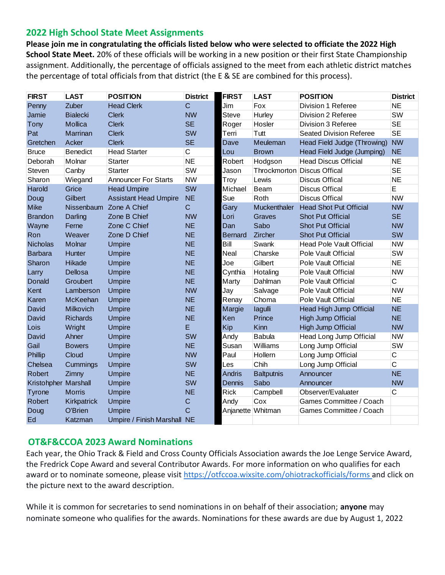# **2022 High School State Meet Assignments**

**Please join me in congratulating the officials listed below who were selected to officiate the 2022 High School State Meet.** 20% of these officials will be working in a new position or their first State Championship assignment. Additionally, the percentage of officials assigned to the meet from each athletic district matches the percentage of total officials from that district (the E & SE are combined for this process).

| <b>FIRST</b>         | <b>LAST</b>     | <b>POSITION</b>              | <b>District</b> | <b>FIRST</b>   | <b>LAST</b>       | <b>POSITION</b>                 | <b>District</b> |
|----------------------|-----------------|------------------------------|-----------------|----------------|-------------------|---------------------------------|-----------------|
| Penny                | Zuber           | <b>Head Clerk</b>            | $\mathsf{C}$    | Jim            | Fox               | Division 1 Referee              | <b>NE</b>       |
| Jamie                | <b>Bialecki</b> | <b>Clerk</b>                 | <b>NW</b>       | <b>Steve</b>   | Hurley            | Division 2 Referee              | SW              |
| Tony                 | Mollica         | <b>Clerk</b>                 | <b>SE</b>       | Roger          | Hosler            | Division 3 Referee              | <b>SE</b>       |
| Pat                  | Marrinan        | <b>Clerk</b>                 | SW              | Terri          | Tutt              | <b>Seated Division Referee</b>  | <b>SE</b>       |
| Gretchen             | Acker           | <b>Clerk</b>                 | <b>SE</b>       | Dave           | Meuleman          | Head Field Judge (Throwing)     | <b>NW</b>       |
| <b>Bruce</b>         | <b>Benedict</b> | <b>Head Starter</b>          | $\mathsf{C}$    | Lou            | <b>Brown</b>      | Head Field Judge (Jumping)      | <b>NE</b>       |
| Deborah              | Molnar          | <b>Starter</b>               | <b>NE</b>       | Robert         | Hodgson           | <b>Head Discus Official</b>     | <b>NE</b>       |
| Steven               | Canby           | <b>Starter</b>               | SW              | Jason          |                   | Throckmorton Discus Offical     | <b>SE</b>       |
| Sharon               | Wiegand         | <b>Announcer For Starts</b>  | <b>NW</b>       | Troy           | Lewis             | <b>Discus Offical</b>           | <b>NE</b>       |
| Harold               | Grice           | <b>Head Umpire</b>           | SW              | Michael        | Beam              | <b>Discus Offical</b>           | E               |
| Doug                 | Gilbert         | <b>Assistant Head Umpire</b> | <b>NE</b>       | Sue            | Roth              | <b>Discus Offical</b>           | <b>NW</b>       |
| <b>Mike</b>          |                 | Nissenbaum Zone A Chief      | C               | Gary           | Muckenthaler      | <b>Head Shot Put Official</b>   | <b>NW</b>       |
| <b>Brandon</b>       | Darling         | Zone B Chief                 | <b>NW</b>       | Lori           | Graves            | <b>Shot Put Official</b>        | <b>SE</b>       |
| Wayne                | Ferne           | Zone C Chief                 | <b>NE</b>       | Dan            | Sabo              | <b>Shot Put Official</b>        | <b>NW</b>       |
| Ron                  | Weaver          | Zone D Chief                 | <b>NE</b>       | <b>Bernard</b> | Zircher           | <b>Shot Put Official</b>        | SW              |
| <b>Nicholas</b>      | Molnar          | <b>Umpire</b>                | <b>NE</b>       | Bill           | Swank             | <b>Head Pole Vault Official</b> | <b>NW</b>       |
| <b>Barbara</b>       | Hunter          | <b>Umpire</b>                | <b>NE</b>       | Neal           | Charske           | Pole Vault Official             | SW              |
| Sharon               | Hikade          | <b>Umpire</b>                | <b>NE</b>       | Joe            | Gilbert           | Pole Vault Official             | <b>NE</b>       |
| Larry                | Dellosa         | <b>Umpire</b>                | <b>NE</b>       | Cynthia        | Hotaling          | Pole Vault Official             | <b>NW</b>       |
| Donald               | Groubert        | <b>Umpire</b>                | <b>NE</b>       | Marty          | Dahlman           | Pole Vault Official             | C               |
| Kent                 | Lamberson       | <b>Umpire</b>                | <b>NW</b>       | Jay            | Salvage           | Pole Vault Official             | <b>NW</b>       |
| Karen                | McKeehan        | <b>Umpire</b>                | <b>NE</b>       | Renay          | Choma             | Pole Vault Official             | <b>NE</b>       |
| David                | Milkovich       | <b>Umpire</b>                | <b>NE</b>       | Margie         | lagulli           | Head High Jump Official         | <b>NE</b>       |
| David                | <b>Richards</b> | <b>Umpire</b>                | <b>NE</b>       | Ken            | Prince            | <b>High Jump Official</b>       | <b>NE</b>       |
| Lois                 | Wright          | <b>Umpire</b>                | E               | Kip            | Kinn              | High Jump Official              | <b>NW</b>       |
| David                | Ahner           | <b>Umpire</b>                | SW              | Andy           | <b>Babula</b>     | Head Long Jump Official         | <b>NW</b>       |
| Gail                 | <b>Bowers</b>   | <b>Umpire</b>                | <b>NE</b>       | Susan          | Williams          | Long Jump Official              | SW              |
| Phillip              | Cloud           | <b>Umpire</b>                | <b>NW</b>       | Paul           | Hollern           | Long Jump Official              | C               |
| Chelsea              | Cummings        | <b>Umpire</b>                | SW              | Les            | Chih              | Long Jump Official              | $\overline{C}$  |
| Robert               | Zimny           | <b>Umpire</b>                | <b>NE</b>       | Andris         | <b>Baltputnis</b> | Announcer                       | <b>NE</b>       |
| Kristohpher Marshall |                 | <b>Umpire</b>                | SW              | Dennis         | Sabo              | Announcer                       | <b>NW</b>       |
| Tyrone               | <b>Morris</b>   | <b>Umpire</b>                | <b>NE</b>       | <b>Rick</b>    | Campbell          | Observer/Evaluater              | C               |
| <b>Robert</b>        | Kirkpatrick     | <b>Umpire</b>                | C               | Andy           | Cox               | Games Committee / Coach         |                 |
| Doug                 | O'Brien         | <b>Umpire</b>                | Ć               |                | Anjanette Whitman | Games Committee / Coach         |                 |
| Ed                   | Katzman         | Umpire / Finish Marshall NE  |                 |                |                   |                                 |                 |

# **OT&F&CCOA 2023 Award Nominations**

Each year, the Ohio Track & Field and Cross County Officials Association awards the Joe Lenge Service Award, the Fredrick Cope Award and several Contributor Awards. For more information on who qualifies for each award or to nominate someone, please visit <https://otfccoa.wixsite.com/ohiotrackofficials/forms> and click on the picture next to the award description.

While it is common for secretaries to send nominations in on behalf of their association; **anyone** may nominate someone who qualifies for the awards. Nominations for these awards are due by August 1, 2022